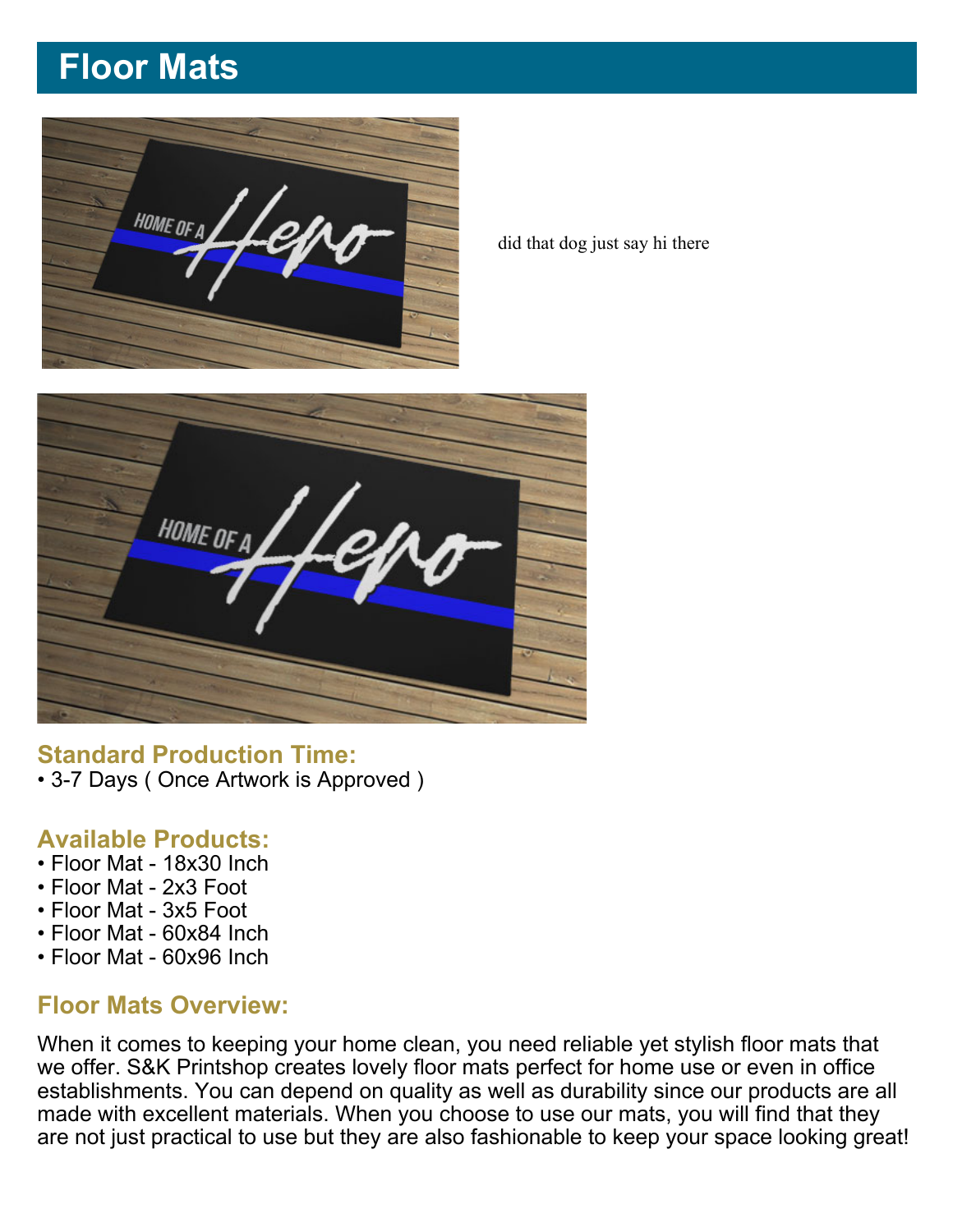# **Floor Mats**



did that dog just say hi there



### **Standard Production Time:**

• 3-7 Days ( Once Artwork is Approved )

#### **Available Products:**

- Floor Mat 18x30 Inch
- Floor Mat 2x3 Foot
- Floor Mat 3x5 Foot
- Floor Mat 60x84 Inch
- Floor Mat 60x96 Inch

### **Floor Mats Overview:**

When it comes to keeping your home clean, you need reliable yet stylish floor mats that we offer. S&K Printshop creates lovely floor mats perfect for home use or even in office establishments. You can depend on quality as well as durability since our products are all made with excellent materials. When you choose to use our mats, you will find that they are not just practical to use but they are also fashionable to keep your space looking great!